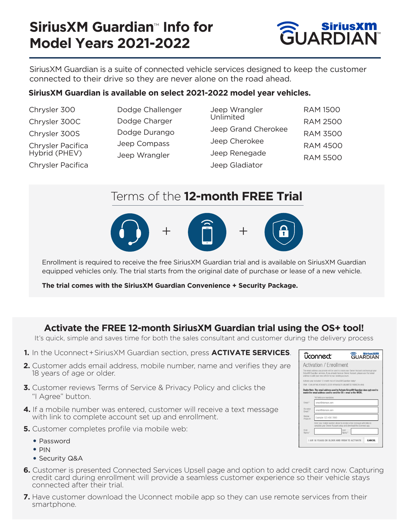## **SiriusXM Guardian**™ **Info for Model Years 2021-2022**



SiriusXM Guardian is a suite of connected vehicle services designed to keep the customer connected to their drive so they are never alone on the road ahead.

### **SiriusXM Guardian is available on select 2021-2022 model year vehicles.**

| Chrysler 300      | Dodge Challenger | Jeep Wrangler       | <b>RAM 1500</b> |
|-------------------|------------------|---------------------|-----------------|
| Chrysler 300C     | Dodge Charger    | Unlimited           | <b>RAM 2500</b> |
| Chrysler 300S     | Dodge Durango    | Jeep Grand Cherokee | <b>RAM 3500</b> |
| Chrysler Pacifica | Jeep Compass     | Jeep Cherokee       | <b>RAM 4500</b> |
| Hybrid (PHEV)     | Jeep Wrangler    | Jeep Renegade       | <b>RAM 5500</b> |
| Chrysler Pacifica |                  | Jeep Gladiator      |                 |

## Terms of the **12-month FREE Trial**



Enrollment is required to receive the free SiriusXM Guardian trial and is available on SiriusXM Guardian equipped vehicles only. The trial starts from the original date of purchase or lease of a new vehicle.

**The trial comes with the SiriusXM Guardian Convenience + Security Package.** 

### **Activate the FREE 12-month SiriusXM Guardian trial using the OS+ tool!**

It's quick, simple and saves time for both the sales consultant and customer during the delivery process

- **1.** In the Uconnect + SiriusXM Guardian section, press **ACTIVATE SERVICES**.
- **2.** Customer adds email address, mobile number, name and verifies they are 18 years of age or older.
- **3.** Customer reviews Terms of Service & Privacy Policy and clicks the "I Agree" button.
- **4.** If a mobile number was entered, customer will receive a text message with link to complete account set up and enrollment.
- **5.** Customer completes profile via mobile web:
	- Password
	- $\bullet$  PIN
	- Security Q&A
- **6.** Customer is presented Connected Services Upsell page and option to add credit card now. Capturing credit card during enrollment will provide a seamless customer experience so their vehicle stays connected after their trial.
- **7.** Have customer download the Uconnect mobile app so they can use remote services from their smartphone.

|                                                                                                                                                                                                                                                 | <b><i>uconnect</i></b>                                                                                                                     | GUARDIAN      |  |  |
|-------------------------------------------------------------------------------------------------------------------------------------------------------------------------------------------------------------------------------------------------|--------------------------------------------------------------------------------------------------------------------------------------------|---------------|--|--|
|                                                                                                                                                                                                                                                 | <b>Activation / Fnrollment</b>                                                                                                             |               |  |  |
| The email address you provide will be used to create your Owner Account and manage your<br>SiriusXM Guardian services. If you already have an Owner Account, please use that email<br>address to add your new vehicle to your existing account. |                                                                                                                                            |               |  |  |
|                                                                                                                                                                                                                                                 | Activate your included 12-month trial of SiriusXM Guardian today!<br>VIN#: 1C4HJXFN6LW345675 (2020 WRANGLER UNLIMITED RUBICON 4X4)         |               |  |  |
| Dealer Note: The email address used to Activate SiriusXM Guardian does not need to<br>match the email address used to send the OS+ email or the NVDR                                                                                            |                                                                                                                                            |               |  |  |
|                                                                                                                                                                                                                                                 | *All fields are mandatory.                                                                                                                 |               |  |  |
| Fmail*                                                                                                                                                                                                                                          | email@domain.com                                                                                                                           |               |  |  |
| Re-enter<br>Fmail*                                                                                                                                                                                                                              | email@domain.com                                                                                                                           |               |  |  |
| Mobile<br>Phone #                                                                                                                                                                                                                               | Example 123 456 7890                                                                                                                       |               |  |  |
|                                                                                                                                                                                                                                                 | Enter your mobile number above to receive a text message with links to<br>complete your Owner Account setup and download the Uconnect app. |               |  |  |
| First<br>Name*                                                                                                                                                                                                                                  | Last                                                                                                                                       | Name*         |  |  |
|                                                                                                                                                                                                                                                 | I AM 18 YEARS OR OLDER AND WISH TO ACTIVATE                                                                                                | <b>CANCEL</b> |  |  |